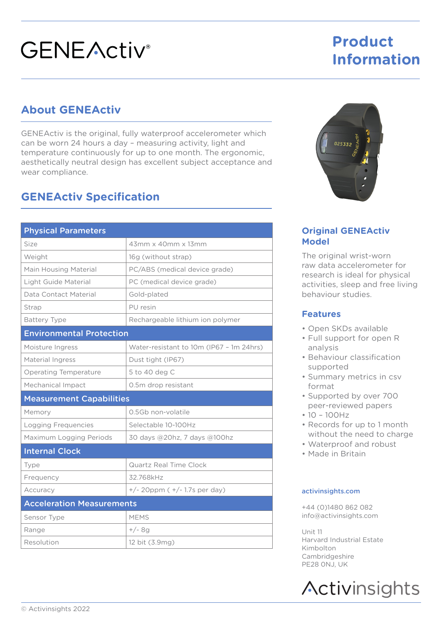# **GENEActiv**<sup>®</sup>

## **Product Information**

### **About GENEActiv**

GENEActiv is the original, fully waterproof accelerometer which can be worn 24 hours a day – measuring activity, light and temperature continuously for up to one month. The ergonomic, aesthetically neutral design has excellent subject acceptance and wear compliance.

### **GENEActiv Specification**

| <b>Physical Parameters</b>       |                                          |
|----------------------------------|------------------------------------------|
| Size                             | 43mm x 40mm x 13mm                       |
| Weight                           | 16g (without strap)                      |
| Main Housing Material            | PC/ABS (medical device grade)            |
| Light Guide Material             | PC (medical device grade)                |
| Data Contact Material            | Gold-plated                              |
| Strap                            | PU resin                                 |
| <b>Battery Type</b>              | Rechargeable lithium ion polymer         |
| <b>Environmental Protection</b>  |                                          |
| Moisture Ingress                 | Water-resistant to 10m (IP67 - 1m 24hrs) |
| Material Ingress                 | Dust tight (IP67)                        |
| <b>Operating Temperature</b>     | 5 to 40 deg C                            |
| Mechanical Impact                | 0.5m drop resistant                      |
| <b>Measurement Capabilities</b>  |                                          |
| Memory                           | 0.5Gb non-volatile                       |
| Logging Frequencies              | Selectable 10-100Hz                      |
| Maximum Logging Periods          | 30 days @20hz, 7 days @100hz             |
| <b>Internal Clock</b>            |                                          |
| Type                             | Quartz Real Time Clock                   |
| Frequency                        | 32.768kHz                                |
| Accuracy                         | $+/- 20$ ppm ( $+/- 1.7$ s per day)      |
| <b>Acceleration Measurements</b> |                                          |
| Sensor Type                      | <b>MEMS</b>                              |
| Range                            | $+/-$ 8q                                 |
| Resolution                       | 12 bit (3.9mg)                           |



#### **Original GENEActiv Model**

The original wrist-worn raw data accelerometer for research is ideal for physical activities, sleep and free living behaviour studies.

#### **Features**

- Open SKDs available
- Full support for open R analysis
- Behaviour classification supported
- Summary metrics in csv format
- Supported by over 700 peer-reviewed papers
- 10 100Hz
- Records for up to 1 month without the need to charge
- Waterproof and robust
- Made in Britain

#### activinsights.com

+44 (0)1480 862 082 info@activinsights.com

 $Unit$  11 Harvard Industrial Estate Kimbolton Cambridgeshire PE28 0NJ, UK